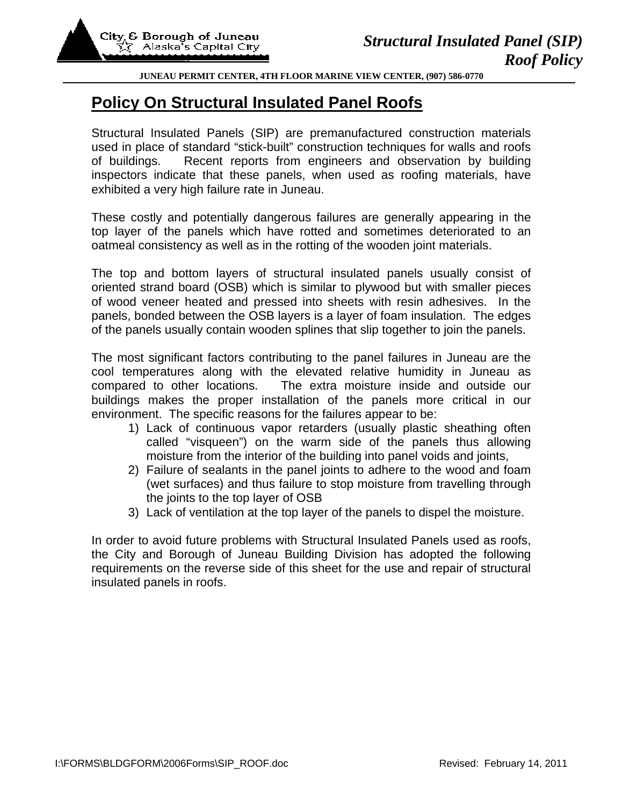## **JUNEAU PERMIT CENTER, 4TH FLOOR MARINE VIEW CENTER, (907) 586-0770**

## **Policy On Structural Insulated Panel Roofs**

Structural Insulated Panels (SIP) are premanufactured construction materials used in place of standard "stick-built" construction techniques for walls and roofs of buildings. Recent reports from engineers and observation by building inspectors indicate that these panels, when used as roofing materials, have exhibited a very high failure rate in Juneau.

These costly and potentially dangerous failures are generally appearing in the top layer of the panels which have rotted and sometimes deteriorated to an oatmeal consistency as well as in the rotting of the wooden joint materials.

The top and bottom layers of structural insulated panels usually consist of oriented strand board (OSB) which is similar to plywood but with smaller pieces of wood veneer heated and pressed into sheets with resin adhesives. In the panels, bonded between the OSB layers is a layer of foam insulation. The edges of the panels usually contain wooden splines that slip together to join the panels.

The most significant factors contributing to the panel failures in Juneau are the cool temperatures along with the elevated relative humidity in Juneau as compared to other locations. The extra moisture inside and outside our buildings makes the proper installation of the panels more critical in our environment. The specific reasons for the failures appear to be:

- 1) Lack of continuous vapor retarders (usually plastic sheathing often called "visqueen") on the warm side of the panels thus allowing moisture from the interior of the building into panel voids and joints,
- 2) Failure of sealants in the panel joints to adhere to the wood and foam (wet surfaces) and thus failure to stop moisture from travelling through the joints to the top layer of OSB
- 3) Lack of ventilation at the top layer of the panels to dispel the moisture.

In order to avoid future problems with Structural Insulated Panels used as roofs, the City and Borough of Juneau Building Division has adopted the following requirements on the reverse side of this sheet for the use and repair of structural insulated panels in roofs.